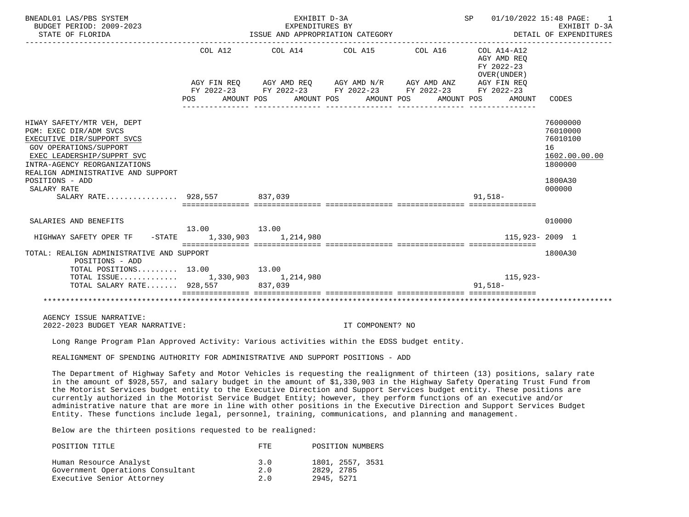| BNEADL01 LAS/PBS SYSTEM<br>BUDGET PERIOD: 2009-2023<br>STATE OF FLORIDA                                                                                                                                                                            | EXHIBIT D-3A<br>EXPENDITURES BY<br>ISSUE AND APPROPRIATION CATEGORY |             |  |  |  |                                  |  |                                                                                                                                                                                            | SP 01/10/2022 15:48 PAGE: 1<br>EXHIBIT D-3A<br>DETAIL OF EXPENDITURES |                                                     |                                                                                         |
|----------------------------------------------------------------------------------------------------------------------------------------------------------------------------------------------------------------------------------------------------|---------------------------------------------------------------------|-------------|--|--|--|----------------------------------|--|--------------------------------------------------------------------------------------------------------------------------------------------------------------------------------------------|-----------------------------------------------------------------------|-----------------------------------------------------|-----------------------------------------------------------------------------------------|
|                                                                                                                                                                                                                                                    | POS                                                                 |             |  |  |  | AMOUNT POS AMOUNT POS AMOUNT POS |  | COL A12 $COL$ A14 $COL$ A15 $COL$ A16 $COL$ A14-A12<br>AGY FIN REQ AGY AMD REQ AGY AMD N/R AGY AMD ANZ AGY FIN REQ<br>FY 2022-23 FY 2022-23 FY 2022-23 FY 2022-23 FY 2022-23<br>AMOUNT POS |                                                                       | AGY AMD REO<br>FY 2022-23<br>OVER (UNDER)<br>AMOUNT | CODES                                                                                   |
| HIWAY SAFETY/MTR VEH, DEPT<br>PGM: EXEC DIR/ADM SVCS<br>EXECUTIVE DIR/SUPPORT SVCS<br>GOV OPERATIONS/SUPPORT<br>EXEC LEADERSHIP/SUPPRT SVC<br>INTRA-AGENCY REORGANIZATIONS<br>REALIGN ADMINISTRATIVE AND SUPPORT<br>POSITIONS - ADD<br>SALARY RATE |                                                                     |             |  |  |  |                                  |  |                                                                                                                                                                                            |                                                                       |                                                     | 76000000<br>76010000<br>76010100<br>16<br>1602.00.00.00<br>1800000<br>1800A30<br>000000 |
| SALARY RATE 928,557 837,039                                                                                                                                                                                                                        |                                                                     |             |  |  |  |                                  |  |                                                                                                                                                                                            |                                                                       | $91.518 -$                                          |                                                                                         |
|                                                                                                                                                                                                                                                    |                                                                     |             |  |  |  |                                  |  |                                                                                                                                                                                            |                                                                       |                                                     |                                                                                         |
| SALARIES AND BENEFITS                                                                                                                                                                                                                              |                                                                     | 13.00 13.00 |  |  |  |                                  |  |                                                                                                                                                                                            |                                                                       |                                                     | 010000                                                                                  |
| HIGHWAY SAFETY OPER TF - STATE 1,330,903 1,214,980                                                                                                                                                                                                 |                                                                     |             |  |  |  |                                  |  |                                                                                                                                                                                            |                                                                       | 115.923-2009 1                                      |                                                                                         |
| TOTAL: REALIGN ADMINISTRATIVE AND SUPPORT<br>POSITIONS - ADD                                                                                                                                                                                       |                                                                     |             |  |  |  |                                  |  |                                                                                                                                                                                            |                                                                       |                                                     | 1800A30                                                                                 |
| TOTAL POSITIONS $13.00$ $13.00$<br>TOTAL ISSUE 1,330,903 1,214,980<br>TOTAL SALARY RATE 928,557 837,039                                                                                                                                            |                                                                     |             |  |  |  |                                  |  |                                                                                                                                                                                            |                                                                       | 115,923-<br>$91.518 -$                              |                                                                                         |
|                                                                                                                                                                                                                                                    |                                                                     |             |  |  |  |                                  |  |                                                                                                                                                                                            |                                                                       |                                                     |                                                                                         |
| AGENCY ISSUE NARRATIVE:<br>2022-2023 BUDGET YEAR NARRATIVE:                                                                                                                                                                                        |                                                                     |             |  |  |  | IT COMPONENT? NO                 |  |                                                                                                                                                                                            |                                                                       |                                                     |                                                                                         |

Long Range Program Plan Approved Activity: Various activities within the EDSS budget entity.

## REALIGNMENT OF SPENDING AUTHORITY FOR ADMINISTRATIVE AND SUPPORT POSITIONS - ADD

 The Department of Highway Safety and Motor Vehicles is requesting the realignment of thirteen (13) positions, salary rate in the amount of \$928,557, and salary budget in the amount of \$1,330,903 in the Highway Safety Operating Trust Fund from the Motorist Services budget entity to the Executive Direction and Support Services budget entity. These positions are currently authorized in the Motorist Service Budget Entity; however, they perform functions of an executive and/or administrative nature that are more in line with other positions in the Executive Direction and Support Services Budget Entity. These functions include legal, personnel, training, communications, and planning and management.

Below are the thirteen positions requested to be realigned:

| POSITION TITLE                   | FTF. | POSITION NUMBERS |
|----------------------------------|------|------------------|
| Human Resource Analyst           | 3.0  | 1801, 2557, 3531 |
| Government Operations Consultant | 2.0  | 2829, 2785       |
| Executive Senior Attorney        | 2.0  | 2945, 5271       |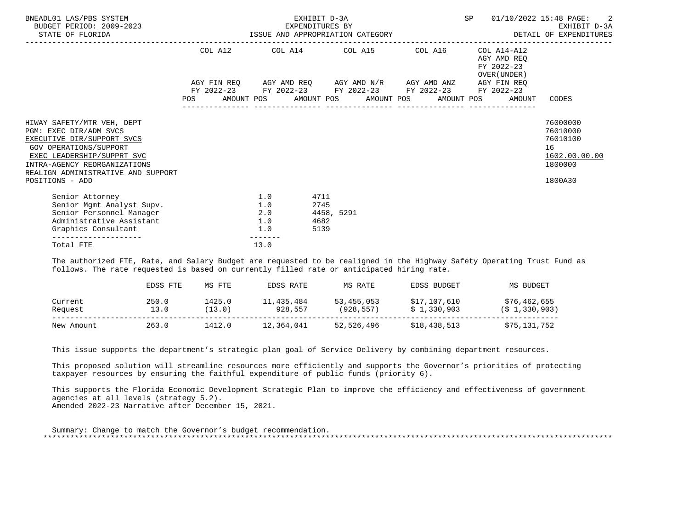| BNEADL01 LAS/PBS SYSTEM<br>BUDGET PERIOD: 2009-2023<br>STATE OF FLORIDA                                                                                                                                                             | EXHIBIT D-3A                                                                                                          | SP         | 01/10/2022 15:48 PAGE: 2<br>EXPENDITURES BY EXERCITE D-3A EXERCITE D-3A EXPENDITURES BY EXERCITE D-3A EXERCITE D-3A EXERCITE D-3A السابق المستوى المستوى المستوى المستوى المستوى المستوى المستوى المستوى المستوى المستوى المستوى المستوى المستوى المستوى ا |                                                                               |
|-------------------------------------------------------------------------------------------------------------------------------------------------------------------------------------------------------------------------------------|-----------------------------------------------------------------------------------------------------------------------|------------|------------------------------------------------------------------------------------------------------------------------------------------------------------------------------------------------------------------------------------------------------------|-------------------------------------------------------------------------------|
|                                                                                                                                                                                                                                     | COL A12 COL A14 COL A15 COL A16 COL A14-A12                                                                           |            | AGY AMD REO<br>FY 2022-23<br>OVER (UNDER)                                                                                                                                                                                                                  |                                                                               |
|                                                                                                                                                                                                                                     | AGY FIN REQ AGY AMD REQ AGY AMD N/R AGY AMD ANZ AGY FIN REQ<br>FY 2022-23 FY 2022-23 FY 2022-23 FY 2022-23 FY 2022-23 |            |                                                                                                                                                                                                                                                            |                                                                               |
|                                                                                                                                                                                                                                     |                                                                                                                       |            | POS AMOUNT POS AMOUNT POS AMOUNT POS AMOUNT POS AMOUNT                                                                                                                                                                                                     | CODES                                                                         |
| HIWAY SAFETY/MTR VEH. DEPT<br>PGM: EXEC DIR/ADM SVCS<br>EXECUTIVE DIR/SUPPORT SVCS<br>GOV OPERATIONS/SUPPORT<br>EXEC LEADERSHIP/SUPPRT SVC<br>INTRA-AGENCY REORGANIZATIONS<br>REALIGN ADMINISTRATIVE AND SUPPORT<br>POSITIONS - ADD |                                                                                                                       |            |                                                                                                                                                                                                                                                            | 76000000<br>76010000<br>76010100<br>16<br>1602.00.00.00<br>1800000<br>1800A30 |
| Senior Attorney<br>Senior Mgmt Analyst Supv.<br>Senior Personnel Manager<br>Administrative Assistant                                                                                                                                | 1.0<br>4711<br>1.0<br>2745<br>2.0<br>1.0<br>4682                                                                      | 4458, 5291 |                                                                                                                                                                                                                                                            |                                                                               |
| Graphics Consultant<br>---------------------<br>Total FTE                                                                                                                                                                           | 1.0<br>5139<br>-------<br>13.0                                                                                        |            |                                                                                                                                                                                                                                                            |                                                                               |

 The authorized FTE, Rate, and Salary Budget are requested to be realigned in the Highway Safety Operating Trust Fund as follows. The rate requested is based on currently filled rate or anticipated hiring rate.

|            | EDSS FTE | MS FTE | EDSS RATE  | MS RATE    | EDSS BUDGET  | MS BUDGET         |
|------------|----------|--------|------------|------------|--------------|-------------------|
| Current    | 250.0    | 1425.0 | 11,435,484 | 53,455,053 | \$17,107,610 | \$76,462,655      |
| Request    | 13.0     | 13.0   | 928,557    | (928,557)  | \$1,330,903  | $(S_1, 330, 903)$ |
| New Amount | 263.0    | 1412.0 | 12,364,041 | 52,526,496 | \$18,438,513 | \$75,131,752      |

This issue supports the department's strategic plan goal of Service Delivery by combining department resources.

 This proposed solution will streamline resources more efficiently and supports the Governor's priorities of protecting taxpayer resources by ensuring the faithful expenditure of public funds (priority 6).

 This supports the Florida Economic Development Strategic Plan to improve the efficiency and effectiveness of government agencies at all levels (strategy 5.2). Amended 2022-23 Narrative after December 15, 2021.

 Summary: Change to match the Governor's budget recommendation. \*\*\*\*\*\*\*\*\*\*\*\*\*\*\*\*\*\*\*\*\*\*\*\*\*\*\*\*\*\*\*\*\*\*\*\*\*\*\*\*\*\*\*\*\*\*\*\*\*\*\*\*\*\*\*\*\*\*\*\*\*\*\*\*\*\*\*\*\*\*\*\*\*\*\*\*\*\*\*\*\*\*\*\*\*\*\*\*\*\*\*\*\*\*\*\*\*\*\*\*\*\*\*\*\*\*\*\*\*\*\*\*\*\*\*\*\*\*\*\*\*\*\*\*\*\*\*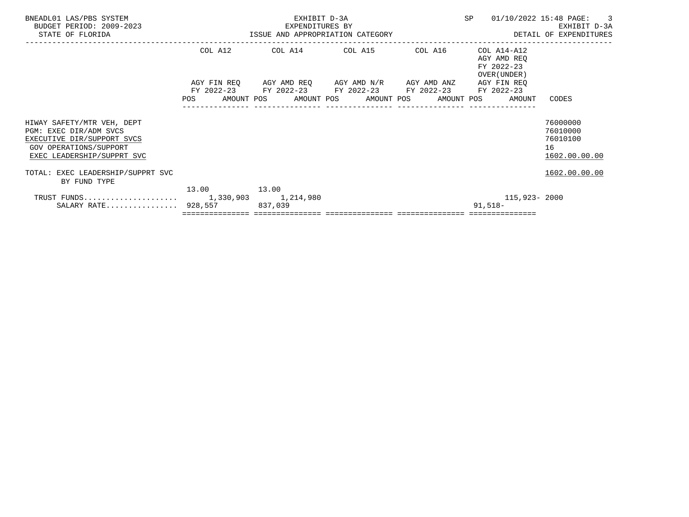| BNEADL01 LAS/PBS SYSTEM<br>BUDGET PERIOD: 2009-2023<br>STATE OF FLORIDA                                                                    |             | EXHIBIT D-3A<br>EXPENDITURES BY<br>ISSUE AND APPROPRIATION CATEGORY | SP                                                                                                                                                           | 01/10/2022 15:48 PAGE: 3<br>EXHIBIT D-3A<br>DETAIL OF EXPENDITURES |                                                          |                                                         |
|--------------------------------------------------------------------------------------------------------------------------------------------|-------------|---------------------------------------------------------------------|--------------------------------------------------------------------------------------------------------------------------------------------------------------|--------------------------------------------------------------------|----------------------------------------------------------|---------------------------------------------------------|
|                                                                                                                                            | COL A12     |                                                                     | COL A14 COL A15                                                                                                                                              | COL A16                                                            | COL A14-A12<br>AGY AMD REO<br>FY 2022-23<br>OVER (UNDER) |                                                         |
|                                                                                                                                            |             |                                                                     | AGY FIN REQ AGY AMD REQ AGY AMD N/R AGY AMD ANZ<br>FY 2022-23 FY 2022-23 FY 2022-23 FY 2022-23 FY 2022-23<br>POS AMOUNT POS AMOUNT POS AMOUNT POS AMOUNT POS |                                                                    | AGY FIN REO<br>AMOUNT                                    | CODES                                                   |
| HIWAY SAFETY/MTR VEH, DEPT<br>PGM: EXEC DIR/ADM SVCS<br>EXECUTIVE DIR/SUPPORT SVCS<br>GOV OPERATIONS/SUPPORT<br>EXEC LEADERSHIP/SUPPRT SVC |             |                                                                     |                                                                                                                                                              |                                                                    |                                                          | 76000000<br>76010000<br>76010100<br>16<br>1602.00.00.00 |
| TOTAL: EXEC LEADERSHIP/SUPPRT SVC<br>BY FUND TYPE                                                                                          |             |                                                                     |                                                                                                                                                              |                                                                    |                                                          | 1602.00.00.00                                           |
| SALARY RATE 928,557                                                                                                                        | 13.00 13.00 | 837,039                                                             |                                                                                                                                                              |                                                                    | 91,518–                                                  | 115,923-2000                                            |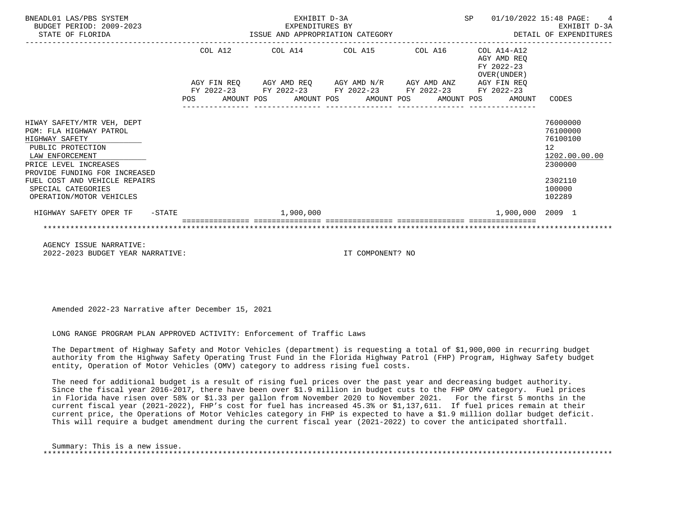| BNEADL01 LAS/PBS SYSTEM<br>BUDGET PERIOD: 2009-2023<br>STATE OF FLORIDA                                                                                                                                                                                      |         | EXHIBIT D-3A<br>EXPENDITURES BY<br>ISSUE AND APPROPRIATION CATEGORY                                                                                       | SP<br>01/10/2022 15:48 PAGE: | $\overline{4}$<br>EXHIBIT D-3A<br>DETAIL OF EXPENDITURES |                                                                                                                |
|--------------------------------------------------------------------------------------------------------------------------------------------------------------------------------------------------------------------------------------------------------------|---------|-----------------------------------------------------------------------------------------------------------------------------------------------------------|------------------------------|----------------------------------------------------------|----------------------------------------------------------------------------------------------------------------|
|                                                                                                                                                                                                                                                              | COL A12 | COL A14 COL A15 COL A16                                                                                                                                   |                              | COL A14-A12<br>AGY AMD REO<br>FY 2022-23<br>OVER (UNDER) |                                                                                                                |
|                                                                                                                                                                                                                                                              | POS     | AGY FIN REO AGY AMD REO AGY AMD N/R AGY AMD ANZ AGY FIN REO<br>FY 2022-23 FY 2022-23 FY 2022-23 FY 2022-23 FY 2022-23<br>AMOUNT POS AMOUNT POS AMOUNT POS |                              | AMOUNT POS<br>AMOUNT                                     | CODES                                                                                                          |
| HIWAY SAFETY/MTR VEH, DEPT<br>PGM: FLA HIGHWAY PATROL<br>HIGHWAY SAFETY<br>PUBLIC PROTECTION<br>LAW ENFORCEMENT<br>PRICE LEVEL INCREASES<br>PROVIDE FUNDING FOR INCREASED<br>FUEL COST AND VEHICLE REPAIRS<br>SPECIAL CATEGORIES<br>OPERATION/MOTOR VEHICLES |         |                                                                                                                                                           |                              |                                                          | 76000000<br>76100000<br>76100100<br>12 <sup>°</sup><br>1202.00.00.00<br>2300000<br>2302110<br>100000<br>102289 |
| $-$ STATE<br>HIGHWAY SAFETY OPER TF                                                                                                                                                                                                                          |         | 1,900,000                                                                                                                                                 |                              | 1,900,000 2009 1                                         |                                                                                                                |
|                                                                                                                                                                                                                                                              |         |                                                                                                                                                           |                              |                                                          |                                                                                                                |

 AGENCY ISSUE NARRATIVE: 2022-2023 BUDGET YEAR NARRATIVE: IT COMPONENT? NO

Amended 2022-23 Narrative after December 15, 2021

LONG RANGE PROGRAM PLAN APPROVED ACTIVITY: Enforcement of Traffic Laws

 The Department of Highway Safety and Motor Vehicles (department) is requesting a total of \$1,900,000 in recurring budget authority from the Highway Safety Operating Trust Fund in the Florida Highway Patrol (FHP) Program, Highway Safety budget entity, Operation of Motor Vehicles (OMV) category to address rising fuel costs.

 The need for additional budget is a result of rising fuel prices over the past year and decreasing budget authority. Since the fiscal year 2016-2017, there have been over \$1.9 million in budget cuts to the FHP OMV category. Fuel prices in Florida have risen over 58% or \$1.33 per gallon from November 2020 to November 2021. For the first 5 months in the current fiscal year (2021-2022), FHP's cost for fuel has increased 45.3% or \$1,137,611. If fuel prices remain at their current price, the Operations of Motor Vehicles category in FHP is expected to have a \$1.9 million dollar budget deficit. This will require a budget amendment during the current fiscal year (2021-2022) to cover the anticipated shortfall.

 Summary: This is a new issue. \*\*\*\*\*\*\*\*\*\*\*\*\*\*\*\*\*\*\*\*\*\*\*\*\*\*\*\*\*\*\*\*\*\*\*\*\*\*\*\*\*\*\*\*\*\*\*\*\*\*\*\*\*\*\*\*\*\*\*\*\*\*\*\*\*\*\*\*\*\*\*\*\*\*\*\*\*\*\*\*\*\*\*\*\*\*\*\*\*\*\*\*\*\*\*\*\*\*\*\*\*\*\*\*\*\*\*\*\*\*\*\*\*\*\*\*\*\*\*\*\*\*\*\*\*\*\*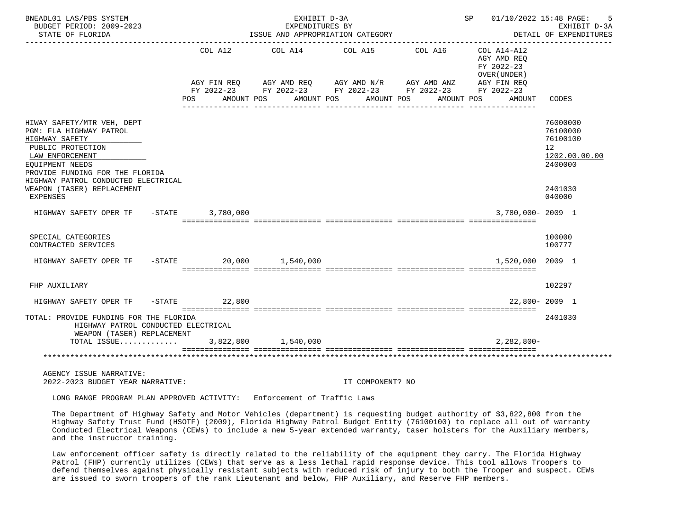| BNEADL01 LAS/PBS SYSTEM<br>BUDGET PERIOD: 2009-2023<br>STATE OF FLORIDA                                                                                                                                                                                |           |                               | EXHIBIT D-3A<br>EXPENDITURES BY<br>ISSUE AND APPROPRIATION CATEGORY | SP 01/10/2022 15:48 PAGE:                                                                                                                               | -5<br>EXHIBIT D-3A<br>DETAIL OF EXPENDITURES |                                                                                       |                                                                                         |
|--------------------------------------------------------------------------------------------------------------------------------------------------------------------------------------------------------------------------------------------------------|-----------|-------------------------------|---------------------------------------------------------------------|---------------------------------------------------------------------------------------------------------------------------------------------------------|----------------------------------------------|---------------------------------------------------------------------------------------|-----------------------------------------------------------------------------------------|
|                                                                                                                                                                                                                                                        |           | COL A12<br>AGY FIN REO<br>POS | COL A14<br>AMOUNT POS                                               | COL A15<br>AGY AMD REO AGY AMD N/R AGY AMD ANZ<br>FY 2022-23 FY 2022-23 FY 2022-23 FY 2022-23 FY 2022-23<br>AMOUNT POS<br>AMOUNT POS<br>--------------- | COL A16<br>AMOUNT POS                        | $COL A14 - A12$<br>AGY AMD REO<br>FY 2022-23<br>OVER (UNDER)<br>AGY FIN REO<br>AMOUNT | CODES                                                                                   |
| HIWAY SAFETY/MTR VEH, DEPT<br>PGM: FLA HIGHWAY PATROL<br>HIGHWAY SAFETY<br>PUBLIC PROTECTION<br>LAW ENFORCEMENT<br>EQUIPMENT NEEDS<br>PROVIDE FUNDING FOR THE FLORIDA<br>HIGHWAY PATROL CONDUCTED ELECTRICAL<br>WEAPON (TASER) REPLACEMENT<br>EXPENSES |           |                               |                                                                     |                                                                                                                                                         |                                              |                                                                                       | 76000000<br>76100000<br>76100100<br>12<br>1202.00.00.00<br>2400000<br>2401030<br>040000 |
| HIGHWAY SAFETY OPER TF                                                                                                                                                                                                                                 | $-$ STATE | 3,780,000                     |                                                                     |                                                                                                                                                         |                                              | 3,780,000-2009 1                                                                      |                                                                                         |
| SPECIAL CATEGORIES<br>CONTRACTED SERVICES                                                                                                                                                                                                              |           |                               |                                                                     |                                                                                                                                                         |                                              |                                                                                       | 100000<br>100777                                                                        |
| HIGHWAY SAFETY OPER TF                                                                                                                                                                                                                                 |           | $-STATE$                      | 20,000 1,540,000                                                    |                                                                                                                                                         |                                              | 1,520,000 2009 1                                                                      |                                                                                         |
| FHP AUXILIARY                                                                                                                                                                                                                                          |           |                               |                                                                     |                                                                                                                                                         |                                              |                                                                                       | 102297                                                                                  |
| HIGHWAY SAFETY OPER TF                                                                                                                                                                                                                                 |           | $-STATE$ 22,800               |                                                                     |                                                                                                                                                         |                                              |                                                                                       | $22.800 - 2009$ 1                                                                       |
| TOTAL: PROVIDE FUNDING FOR THE FLORIDA<br>HIGHWAY PATROL CONDUCTED ELECTRICAL<br>WEAPON (TASER) REPLACEMENT                                                                                                                                            |           |                               |                                                                     |                                                                                                                                                         |                                              |                                                                                       | 2401030                                                                                 |
| TOTAL ISSUE                                                                                                                                                                                                                                            |           |                               | 3,822,800 1,540,000                                                 |                                                                                                                                                         |                                              | $2,282,800-$                                                                          |                                                                                         |
|                                                                                                                                                                                                                                                        |           |                               |                                                                     |                                                                                                                                                         |                                              |                                                                                       |                                                                                         |
| AGENCY ISSUE NARRATIVE:<br>2022-2023 BUDGET YEAR NARRATIVE:                                                                                                                                                                                            |           |                               |                                                                     | IT COMPONENT? NO                                                                                                                                        |                                              |                                                                                       |                                                                                         |

LONG RANGE PROGRAM PLAN APPROVED ACTIVITY: Enforcement of Traffic Laws

 The Department of Highway Safety and Motor Vehicles (department) is requesting budget authority of \$3,822,800 from the Highway Safety Trust Fund (HSOTF) (2009), Florida Highway Patrol Budget Entity (76100100) to replace all out of warranty Conducted Electrical Weapons (CEWs) to include a new 5-year extended warranty, taser holsters for the Auxiliary members, and the instructor training.

 Law enforcement officer safety is directly related to the reliability of the equipment they carry. The Florida Highway Patrol (FHP) currently utilizes (CEWs) that serve as a less lethal rapid response device. This tool allows Troopers to defend themselves against physically resistant subjects with reduced risk of injury to both the Trooper and suspect. CEWs are issued to sworn troopers of the rank Lieutenant and below, FHP Auxiliary, and Reserve FHP members.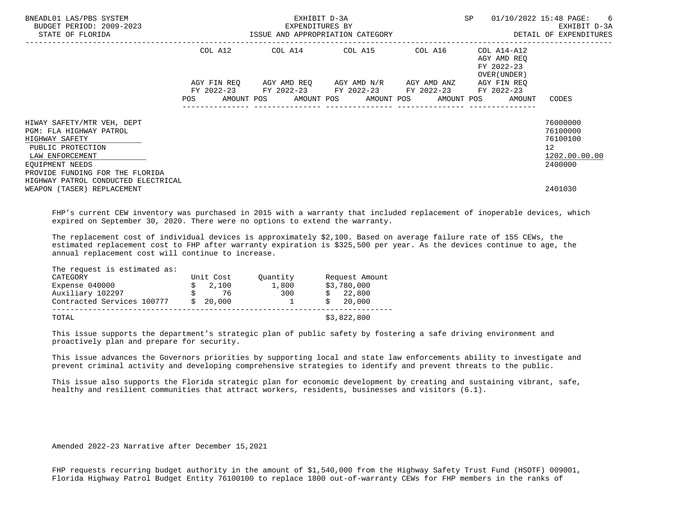| BNEADL01 LAS/PBS SYSTEM<br>BUDGET PERIOD: 2009-2023<br>STATE OF FLORIDA                                                                                                                                      |         | EXHIBIT D-3A<br>EXPENDITURES BY<br>ISSUE AND APPROPRIATION CATEGORY                                       | SP | 01/10/2022 15:48 PAGE: 6<br>EXHIBIT D-3A<br>DETAIL OF EXPENDITURES    |                                                                                  |
|--------------------------------------------------------------------------------------------------------------------------------------------------------------------------------------------------------------|---------|-----------------------------------------------------------------------------------------------------------|----|-----------------------------------------------------------------------|----------------------------------------------------------------------------------|
|                                                                                                                                                                                                              | COL A12 | COL A14 COL A15 COL A16                                                                                   |    | COL A14-A12<br>AGY AMD REO<br>FY 2022-23<br>OVER (UNDER )             |                                                                                  |
|                                                                                                                                                                                                              |         | AGY FIN REQ AGY AMD REQ AGY AMD N/R AGY AMD ANZ<br>FY 2022-23 FY 2022-23 FY 2022-23 FY 2022-23 FY 2022-23 |    | AGY FIN REO<br>POS AMOUNT POS AMOUNT POS AMOUNT POS AMOUNT POS AMOUNT | CODES                                                                            |
| HIWAY SAFETY/MTR VEH, DEPT<br>PGM: FLA HIGHWAY PATROL<br>HIGHWAY SAFETY<br>PUBLIC PROTECTION<br>LAW ENFORCEMENT<br>EOUIPMENT NEEDS<br>PROVIDE FUNDING FOR THE FLORIDA<br>HIGHWAY PATROL CONDUCTED ELECTRICAL |         |                                                                                                           |    |                                                                       | 76000000<br>76100000<br>76100100<br>12 <sup>12</sup><br>1202.00.00.00<br>2400000 |
| WEAPON (TASER) REPLACEMENT                                                                                                                                                                                   |         |                                                                                                           |    |                                                                       | 2401030                                                                          |

 FHP's current CEW inventory was purchased in 2015 with a warranty that included replacement of inoperable devices, which expired on September 30, 2020. There were no options to extend the warranty.

 The replacement cost of individual devices is approximately \$2,100. Based on average failure rate of 155 CEWs, the estimated replacement cost to FHP after warranty expiration is \$325,500 per year. As the devices continue to age, the annual replacement cost will continue to increase.

| The request is estimated as: |           |          |                |  |
|------------------------------|-----------|----------|----------------|--|
| CATEGORY                     | Unit Cost | Ouantity | Request Amount |  |
| Expense 040000               | 2,100     | 1,800    | \$3,780,000    |  |
| Auxiliary 102297             | 76        | 300      | 22,800         |  |
| Contracted Services 100777   | 20,000    |          | 20,000         |  |
| TOTAL                        |           |          | \$3,822,800    |  |

 This issue supports the department's strategic plan of public safety by fostering a safe driving environment and proactively plan and prepare for security.

 This issue advances the Governors priorities by supporting local and state law enforcements ability to investigate and prevent criminal activity and developing comprehensive strategies to identify and prevent threats to the public.

 This issue also supports the Florida strategic plan for economic development by creating and sustaining vibrant, safe, healthy and resilient communities that attract workers, residents, businesses and visitors (6.1).

Amended 2022-23 Narrative after December 15,2021

 FHP requests recurring budget authority in the amount of \$1,540,000 from the Highway Safety Trust Fund (HSOTF) 009001, Florida Highway Patrol Budget Entity 76100100 to replace 1800 out-of-warranty CEWs for FHP members in the ranks of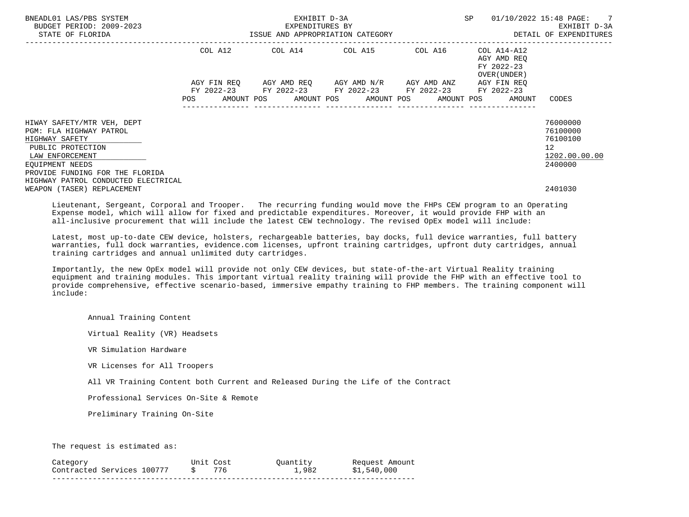| BNEADL01 LAS/PBS SYSTEM<br>BUDGET PERIOD: 2009-2023<br>STATE OF FLORIDA | EXHIBIT D-3A<br>EXPENDITURES BY<br>ISSUE AND APPROPRIATION CATEGORY |  |  |                                                                                                |  |  | SP |  | 01/10/2022 15:48 PAGE: 7<br>EXHIBIT D-3A<br>DETAIL OF EXPENDITURES |                                  |
|-------------------------------------------------------------------------|---------------------------------------------------------------------|--|--|------------------------------------------------------------------------------------------------|--|--|----|--|--------------------------------------------------------------------|----------------------------------|
|                                                                         | COL A12                                                             |  |  | COL A14 COL A15 COL A16                                                                        |  |  |    |  | COL A14-A12<br>AGY AMD REO<br>FY 2022-23<br>OVER (UNDER )          |                                  |
|                                                                         |                                                                     |  |  | AGY FIN REO AGY AMD REO AGY AMD N/R AGY AMD ANZ<br>FY 2022-23 FY 2022-23 FY 2022-23 FY 2022-23 |  |  |    |  | AGY FIN REO<br>FY 2022-23                                          |                                  |
|                                                                         | <b>POS</b>                                                          |  |  | AMOUNT POS      AMOUNT POS      AMOUNT POS     AMOUNT POS                                      |  |  |    |  | AMOUNT                                                             | CODES                            |
| HIWAY SAFETY/MTR VEH, DEPT<br>PGM: FLA HIGHWAY PATROL                   |                                                                     |  |  |                                                                                                |  |  |    |  |                                                                    | 76000000<br>76100000<br>76100100 |
| HIGHWAY SAFETY<br>PUBLIC PROTECTION<br>LAW ENFORCEMENT                  |                                                                     |  |  |                                                                                                |  |  |    |  |                                                                    | 12 <sup>°</sup><br>1202.00.00.00 |
| EOUIPMENT NEEDS<br>PROVIDE FUNDING FOR THE FLORIDA                      |                                                                     |  |  |                                                                                                |  |  |    |  |                                                                    | 2400000                          |
| HIGHWAY PATROL CONDUCTED ELECTRICAL<br>WEAPON (TASER) REPLACEMENT       |                                                                     |  |  |                                                                                                |  |  |    |  |                                                                    | 2401030                          |

 Lieutenant, Sergeant, Corporal and Trooper. The recurring funding would move the FHPs CEW program to an Operating Expense model, which will allow for fixed and predictable expenditures. Moreover, it would provide FHP with an all-inclusive procurement that will include the latest CEW technology. The revised OpEx model will include:

 Latest, most up-to-date CEW device, holsters, rechargeable batteries, bay docks, full device warranties, full battery warranties, full dock warranties, evidence.com licenses, upfront training cartridges, upfront duty cartridges, annual training cartridges and annual unlimited duty cartridges.

 Importantly, the new OpEx model will provide not only CEW devices, but state-of-the-art Virtual Reality training equipment and training modules. This important virtual reality training will provide the FHP with an effective tool to provide comprehensive, effective scenario-based, immersive empathy training to FHP members. The training component will include:

Annual Training Content

Virtual Reality (VR) Headsets

VR Simulation Hardware

VR Licenses for All Troopers

All VR Training Content both Current and Released During the Life of the Contract

Professional Services On-Site & Remote

Preliminary Training On-Site

The request is estimated as:

| Categr                  |        | 'Init | Cost |      | Amount<br>Request |
|-------------------------|--------|-------|------|------|-------------------|
| racted Services<br>~nn+ | 100777 |       |      | -982 | 000<br>540        |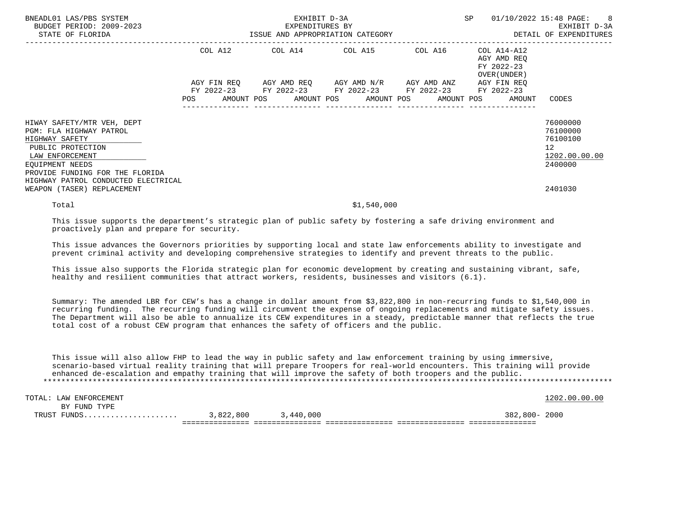| BNEADL01 LAS/PBS SYSTEM<br>BUDGET PERIOD: 2009-2023<br>STATE OF FLORIDA                                                                                                                                      |         | EXHIBIT D-3A<br>EXPENDITURES BY<br>ISSUE AND APPROPRIATION CATEGORY | SP                                                                                             | 01/10/2022 15:48 PAGE: 8<br>EXHIBIT D-3A<br>DETAIL OF EXPENDITURES |                                                                                     |                                                                    |
|--------------------------------------------------------------------------------------------------------------------------------------------------------------------------------------------------------------|---------|---------------------------------------------------------------------|------------------------------------------------------------------------------------------------|--------------------------------------------------------------------|-------------------------------------------------------------------------------------|--------------------------------------------------------------------|
|                                                                                                                                                                                                              | COL A12 |                                                                     | COL A14 COL A15                                                                                | COL A16                                                            | COL A14-A12<br>AGY AMD REQ<br>FY 2022-23<br>OVER (UNDER )                           |                                                                    |
|                                                                                                                                                                                                              |         |                                                                     | AGY FIN REQ AGY AMD REQ AGY AMD N/R AGY AMD ANZ<br>FY 2022-23 FY 2022-23 FY 2022-23 FY 2022-23 |                                                                    | AGY FIN REO<br>FY 2022-23<br>POS AMOUNT POS AMOUNT POS AMOUNT POS AMOUNT POS AMOUNT | CODES                                                              |
| HIWAY SAFETY/MTR VEH, DEPT<br>PGM: FLA HIGHWAY PATROL<br>HIGHWAY SAFETY<br>PUBLIC PROTECTION<br>LAW ENFORCEMENT<br>EOUIPMENT NEEDS<br>PROVIDE FUNDING FOR THE FLORIDA<br>HIGHWAY PATROL CONDUCTED ELECTRICAL |         |                                                                     |                                                                                                |                                                                    |                                                                                     | 76000000<br>76100000<br>76100100<br>12<br>1202.00.00.00<br>2400000 |
| WEAPON (TASER) REPLACEMENT                                                                                                                                                                                   |         |                                                                     |                                                                                                |                                                                    |                                                                                     | 2401030                                                            |
| Total                                                                                                                                                                                                        |         |                                                                     | \$1,540,000                                                                                    |                                                                    |                                                                                     |                                                                    |

 This issue supports the department's strategic plan of public safety by fostering a safe driving environment and proactively plan and prepare for security.

 This issue advances the Governors priorities by supporting local and state law enforcements ability to investigate and prevent criminal activity and developing comprehensive strategies to identify and prevent threats to the public.

 This issue also supports the Florida strategic plan for economic development by creating and sustaining vibrant, safe, healthy and resilient communities that attract workers, residents, businesses and visitors (6.1).

 Summary: The amended LBR for CEW's has a change in dollar amount from \$3,822,800 in non-recurring funds to \$1,540,000 in recurring funding. The recurring funding will circumvent the expense of ongoing replacements and mitigate safety issues. The Department will also be able to annualize its CEW expenditures in a steady, predictable manner that reflects the true total cost of a robust CEW program that enhances the safety of officers and the public.

 This issue will also allow FHP to lead the way in public safety and law enforcement training by using immersive, scenario-based virtual reality training that will prepare Troopers for real-world encounters. This training will provide enhanced de-escalation and empathy training that will improve the safety of both troopers and the public. \*\*\*\*\*\*\*\*\*\*\*\*\*\*\*\*\*\*\*\*\*\*\*\*\*\*\*\*\*\*\*\*\*\*\*\*\*\*\*\*\*\*\*\*\*\*\*\*\*\*\*\*\*\*\*\*\*\*\*\*\*\*\*\*\*\*\*\*\*\*\*\*\*\*\*\*\*\*\*\*\*\*\*\*\*\*\*\*\*\*\*\*\*\*\*\*\*\*\*\*\*\*\*\*\*\*\*\*\*\*\*\*\*\*\*\*\*\*\*\*\*\*\*\*\*\*\*

 $\texttt{Total}: \texttt{LAW ENFCRCEMENT} \quad \texttt{1202.00.00}.00$  BY FUND TYPE TRUST FUNDS..................... 3,822,800 3,440,000 382,800- 2000 =============== =============== =============== =============== ===============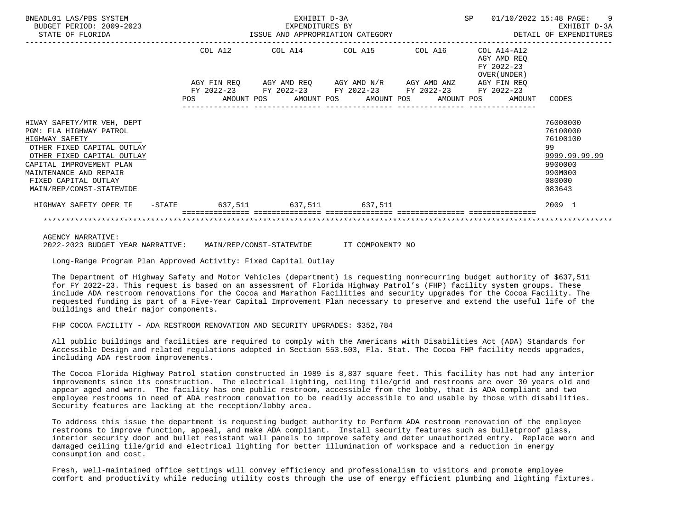| BNEADL01 LAS/PBS SYSTEM<br>BUDGET PERIOD: 2009-2023                                                                                                                                                                                           | EXHIBIT D-3A<br>EXPENDITURES BY |  |  |                                             |  |                                                                                                                                 |  |  |                                            | SP 01/10/2022 15:48 PAGE: 9<br>EXHIBIT D-3A<br>DETAIL OF EXPENDITURES |                                                                                                   |
|-----------------------------------------------------------------------------------------------------------------------------------------------------------------------------------------------------------------------------------------------|---------------------------------|--|--|---------------------------------------------|--|---------------------------------------------------------------------------------------------------------------------------------|--|--|--------------------------------------------|-----------------------------------------------------------------------|---------------------------------------------------------------------------------------------------|
|                                                                                                                                                                                                                                               |                                 |  |  | COL A12 COL A14 COL A15 COL A16 COL A14-A12 |  |                                                                                                                                 |  |  | AGY AMD REO<br>FY 2022-23<br>OVER (UNDER ) |                                                                       |                                                                                                   |
|                                                                                                                                                                                                                                               |                                 |  |  |                                             |  | AGY FIN REQ 6 AGY AMD REQ 6 AGY AMD N/R 66 AGY AMD ANZ 66 AGY FIN REQ<br>FY 2022-23 FY 2022-23 FY 2022-23 FY 2022-23 FY 2022-23 |  |  |                                            | POS AMOUNT POS AMOUNT POS AMOUNT POS AMOUNT POS AMOUNT CODES          |                                                                                                   |
| HIWAY SAFETY/MTR VEH, DEPT<br>PGM: FLA HIGHWAY PATROL<br>HIGHWAY SAFETY<br>OTHER FIXED CAPITAL OUTLAY<br>OTHER FIXED CAPITAL OUTLAY<br>CAPITAL IMPROVEMENT PLAN<br>MAINTENANCE AND REPAIR<br>FIXED CAPITAL OUTLAY<br>MAIN/REP/CONST-STATEWIDE |                                 |  |  |                                             |  |                                                                                                                                 |  |  |                                            |                                                                       | 76000000<br>76100000<br>76100100<br>99<br>9999.99.99.99<br>9900000<br>990M000<br>080000<br>083643 |
| HIGHWAY SAFETY OPER TF -STATE 637,511 637,511 637,511 637,511                                                                                                                                                                                 |                                 |  |  |                                             |  |                                                                                                                                 |  |  |                                            |                                                                       | 2009 1                                                                                            |
|                                                                                                                                                                                                                                               |                                 |  |  |                                             |  |                                                                                                                                 |  |  |                                            |                                                                       |                                                                                                   |

AGENCY NARRATIVE:

2022-2023 BUDGET YEAR NARRATIVE: MAIN/REP/CONST-STATEWIDE IT COMPONENT? NO

Long-Range Program Plan Approved Activity: Fixed Capital Outlay

 The Department of Highway Safety and Motor Vehicles (department) is requesting nonrecurring budget authority of \$637,511 for FY 2022-23. This request is based on an assessment of Florida Highway Patrol's (FHP) facility system groups. These include ADA restroom renovations for the Cocoa and Marathon Facilities and security upgrades for the Cocoa Facility. The requested funding is part of a Five-Year Capital Improvement Plan necessary to preserve and extend the useful life of the buildings and their major components.

FHP COCOA FACILITY - ADA RESTROOM RENOVATION AND SECURITY UPGRADES: \$352,784

 All public buildings and facilities are required to comply with the Americans with Disabilities Act (ADA) Standards for Accessible Design and related regulations adopted in Section 553.503, Fla. Stat. The Cocoa FHP facility needs upgrades, including ADA restroom improvements.

 The Cocoa Florida Highway Patrol station constructed in 1989 is 8,837 square feet. This facility has not had any interior improvements since its construction. The electrical lighting, ceiling tile/grid and restrooms are over 30 years old and appear aged and worn. The facility has one public restroom, accessible from the lobby, that is ADA compliant and two employee restrooms in need of ADA restroom renovation to be readily accessible to and usable by those with disabilities. Security features are lacking at the reception/lobby area.

 To address this issue the department is requesting budget authority to Perform ADA restroom renovation of the employee restrooms to improve function, appeal, and make ADA compliant. Install security features such as bulletproof glass, interior security door and bullet resistant wall panels to improve safety and deter unauthorized entry. Replace worn and damaged ceiling tile/grid and electrical lighting for better illumination of workspace and a reduction in energy consumption and cost.

 Fresh, well-maintained office settings will convey efficiency and professionalism to visitors and promote employee comfort and productivity while reducing utility costs through the use of energy efficient plumbing and lighting fixtures.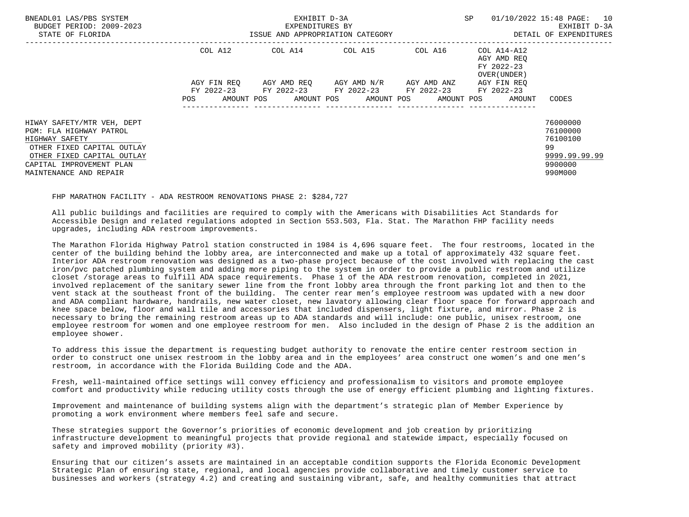| BNEADL01 LAS/PBS SYSTEM<br>BUDGET PERIOD: 2009-2023<br>STATE OF FLORIDA                                                                                                                   | ISSUE AND APPROPRIATION CATEGORY | EXHIBIT D-3A<br>EXPENDITURES BY | <b>SP</b>                                                                                                                                                | 01/10/2022 15:48 PAGE: 10<br>EXHIBIT D-3A<br>DETAIL OF EXPENDITURES |                                            |                                                                               |
|-------------------------------------------------------------------------------------------------------------------------------------------------------------------------------------------|----------------------------------|---------------------------------|----------------------------------------------------------------------------------------------------------------------------------------------------------|---------------------------------------------------------------------|--------------------------------------------|-------------------------------------------------------------------------------|
|                                                                                                                                                                                           | COL A12                          |                                 | COL A14 COL A15 COL A16 COL A14-A12                                                                                                                      |                                                                     | AGY AMD REO<br>FY 2022-23<br>OVER (UNDER ) |                                                                               |
|                                                                                                                                                                                           | POS                              |                                 | AGY FIN REO AGY AMD REO AGY AMD N/R AGY AMD ANZ<br>FY 2022-23 FY 2022-23 FY 2022-23 FY 2022-23 FY 2022-23<br>AMOUNT POS AMOUNT POS AMOUNT POS AMOUNT POS |                                                                     | AGY FIN REO<br>AMOUNT                      | CODES                                                                         |
| HIWAY SAFETY/MTR VEH, DEPT<br>PGM: FLA HIGHWAY PATROL<br>HIGHWAY SAFETY<br>OTHER FIXED CAPITAL OUTLAY<br>OTHER FIXED CAPITAL OUTLAY<br>CAPITAL IMPROVEMENT PLAN<br>MAINTENANCE AND REPAIR |                                  |                                 |                                                                                                                                                          |                                                                     |                                            | 76000000<br>76100000<br>76100100<br>99<br>9999.99.99.99<br>9900000<br>990M000 |

## FHP MARATHON FACILITY - ADA RESTROOM RENOVATIONS PHASE 2: \$284,727

 All public buildings and facilities are required to comply with the Americans with Disabilities Act Standards for Accessible Design and related regulations adopted in Section 553.503, Fla. Stat. The Marathon FHP facility needs upgrades, including ADA restroom improvements.

 The Marathon Florida Highway Patrol station constructed in 1984 is 4,696 square feet. The four restrooms, located in the center of the building behind the lobby area, are interconnected and make up a total of approximately 432 square feet. Interior ADA restroom renovation was designed as a two-phase project because of the cost involved with replacing the cast iron/pvc patched plumbing system and adding more piping to the system in order to provide a public restroom and utilize closet /storage areas to fulfill ADA space requirements. Phase 1 of the ADA restroom renovation, completed in 2021, involved replacement of the sanitary sewer line from the front lobby area through the front parking lot and then to the vent stack at the southeast front of the building. The center rear men's employee restroom was updated with a new door and ADA compliant hardware, handrails, new water closet, new lavatory allowing clear floor space for forward approach and knee space below, floor and wall tile and accessories that included dispensers, light fixture, and mirror. Phase 2 is necessary to bring the remaining restroom areas up to ADA standards and will include: one public, unisex restroom, one employee restroom for women and one employee restroom for men. Also included in the design of Phase 2 is the addition an employee shower.

 To address this issue the department is requesting budget authority to renovate the entire center restroom section in order to construct one unisex restroom in the lobby area and in the employees' area construct one women's and one men's restroom, in accordance with the Florida Building Code and the ADA.

 Fresh, well-maintained office settings will convey efficiency and professionalism to visitors and promote employee comfort and productivity while reducing utility costs through the use of energy efficient plumbing and lighting fixtures.

 Improvement and maintenance of building systems align with the department's strategic plan of Member Experience by promoting a work environment where members feel safe and secure.

 These strategies support the Governor's priorities of economic development and job creation by prioritizing infrastructure development to meaningful projects that provide regional and statewide impact, especially focused on safety and improved mobility (priority #3).

 Ensuring that our citizen's assets are maintained in an acceptable condition supports the Florida Economic Development Strategic Plan of ensuring state, regional, and local agencies provide collaborative and timely customer service to businesses and workers (strategy 4.2) and creating and sustaining vibrant, safe, and healthy communities that attract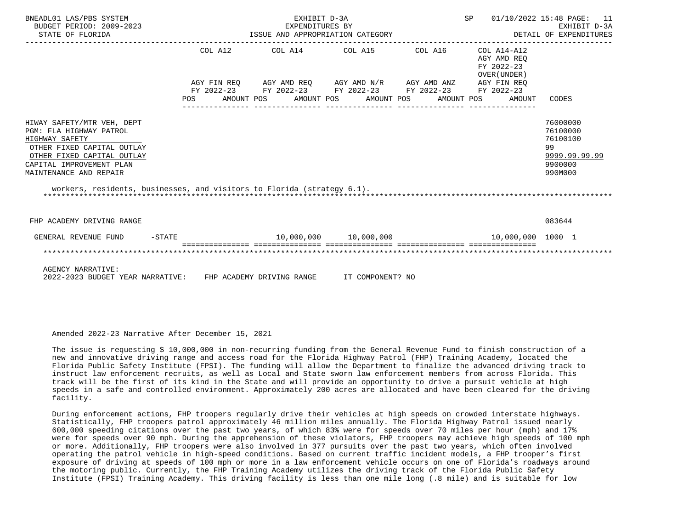| BNEADL01 LAS/PBS SYSTEM<br>BUDGET PERIOD: 2009-2023<br>STATE OF FLORIDA                                                                                                                                                                                              |         | EXHIBIT D-3A<br>EXPENDITURES BY                                                                           | SP 01/10/2022 15:48 PAGE: 11 | EXHIBIT D-3A                              |                                                                               |
|----------------------------------------------------------------------------------------------------------------------------------------------------------------------------------------------------------------------------------------------------------------------|---------|-----------------------------------------------------------------------------------------------------------|------------------------------|-------------------------------------------|-------------------------------------------------------------------------------|
|                                                                                                                                                                                                                                                                      | COL A12 | COL A14 COL A15 COL A16 COL A14-A12                                                                       |                              | AGY AMD REO<br>FY 2022-23<br>OVER (UNDER) |                                                                               |
|                                                                                                                                                                                                                                                                      |         | AGY FIN REQ AGY AMD REQ AGY AMD N/R AGY AMD ANZ AGY FIN REQ                                               |                              |                                           |                                                                               |
|                                                                                                                                                                                                                                                                      |         | FY 2022-23 FY 2022-23 FY 2022-23 FY 2022-23 FY 2022-23<br>POS AMOUNT POS AMOUNT POS AMOUNT POS AMOUNT POS |                              |                                           | AMOUNT CODES                                                                  |
| HIWAY SAFETY/MTR VEH, DEPT<br>PGM: FLA HIGHWAY PATROL<br>HIGHWAY SAFETY<br>OTHER FIXED CAPITAL OUTLAY<br>OTHER FIXED CAPITAL OUTLAY<br>CAPITAL IMPROVEMENT PLAN<br>MAINTENANCE AND REPAIR<br>workers, residents, businesses, and visitors to Florida (strategy 6.1). |         |                                                                                                           |                              |                                           | 76000000<br>76100000<br>76100100<br>99<br>9999.99.99.99<br>9900000<br>990M000 |
| FHP ACADEMY DRIVING RANGE                                                                                                                                                                                                                                            |         |                                                                                                           |                              |                                           | 083644                                                                        |
|                                                                                                                                                                                                                                                                      |         |                                                                                                           |                              |                                           |                                                                               |
| GENERAL REVENUE FUND -STATE $10,000,000$ $10,000,000$ $10,000,000$ $10,000,000$ $10,000,000$ $1000$ $1$                                                                                                                                                              |         |                                                                                                           |                              |                                           |                                                                               |
|                                                                                                                                                                                                                                                                      |         |                                                                                                           |                              |                                           |                                                                               |
| AGENCY NARRATIVE:<br>2022-2023 BUDGET YEAR NARRATIVE: FHP ACADEMY DRIVING RANGE                                                                                                                                                                                      |         |                                                                                                           | IT COMPONENT? NO             |                                           |                                                                               |

Amended 2022-23 Narrative After December 15, 2021

 The issue is requesting \$ 10,000,000 in non-recurring funding from the General Revenue Fund to finish construction of a new and innovative driving range and access road for the Florida Highway Patrol (FHP) Training Academy, located the Florida Public Safety Institute (FPSI). The funding will allow the Department to finalize the advanced driving track to instruct law enforcement recruits, as well as Local and State sworn law enforcement members from across Florida. This track will be the first of its kind in the State and will provide an opportunity to drive a pursuit vehicle at high speeds in a safe and controlled environment. Approximately 200 acres are allocated and have been cleared for the driving facility.

 During enforcement actions, FHP troopers regularly drive their vehicles at high speeds on crowded interstate highways. Statistically, FHP troopers patrol approximately 46 million miles annually. The Florida Highway Patrol issued nearly 600,000 speeding citations over the past two years, of which 83% were for speeds over 70 miles per hour (mph) and 17% were for speeds over 90 mph. During the apprehension of these violators, FHP troopers may achieve high speeds of 100 mph or more. Additionally, FHP troopers were also involved in 377 pursuits over the past two years, which often involved operating the patrol vehicle in high-speed conditions. Based on current traffic incident models, a FHP trooper's first exposure of driving at speeds of 100 mph or more in a law enforcement vehicle occurs on one of Florida's roadways around the motoring public. Currently, the FHP Training Academy utilizes the driving track of the Florida Public Safety Institute (FPSI) Training Academy. This driving facility is less than one mile long (.8 mile) and is suitable for low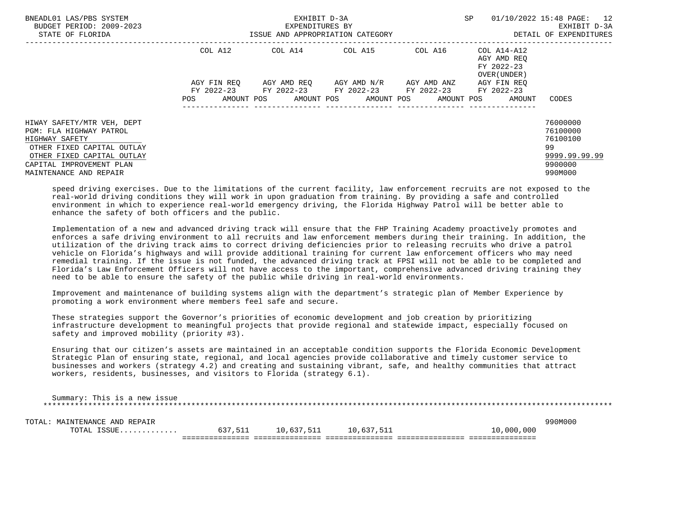| BNEADL01 LAS/PBS SYSTEM<br>BUDGET PERIOD: 2009-2023<br>STATE OF FLORIDA                                                                                                                   |     | EXHIBIT D-3A<br>EXPENDITURES BY<br>ISSUE AND APPROPRIATION CATEGORY | SP                                                                                                        | 01/10/2022 15:48 PAGE: 12<br>EXHIBIT D-3A<br>DETAIL OF EXPENDITURES |                                                    |                                                                               |
|-------------------------------------------------------------------------------------------------------------------------------------------------------------------------------------------|-----|---------------------------------------------------------------------|-----------------------------------------------------------------------------------------------------------|---------------------------------------------------------------------|----------------------------------------------------|-------------------------------------------------------------------------------|
|                                                                                                                                                                                           |     |                                                                     | COL A12 COL A14 COL A15 COL A16 COL A14-A12                                                               |                                                                     | AGY AMD REO<br>FY 2022-23<br>OVER (UNDER )         |                                                                               |
|                                                                                                                                                                                           |     |                                                                     | AGY FIN REO AGY AMD REO AGY AMD N/R AGY AMD ANZ<br>FY 2022-23 FY 2022-23 FY 2022-23 FY 2022-23 FY 2022-23 |                                                                     | AGY FIN REO                                        |                                                                               |
|                                                                                                                                                                                           | POS |                                                                     |                                                                                                           |                                                                     | AMOUNT POS AMOUNT POS AMOUNT POS AMOUNT POS AMOUNT | CODES                                                                         |
| HIWAY SAFETY/MTR VEH, DEPT<br>PGM: FLA HIGHWAY PATROL<br>HIGHWAY SAFETY<br>OTHER FIXED CAPITAL OUTLAY<br>OTHER FIXED CAPITAL OUTLAY<br>CAPITAL IMPROVEMENT PLAN<br>MAINTENANCE AND REPAIR |     |                                                                     |                                                                                                           |                                                                     |                                                    | 76000000<br>76100000<br>76100100<br>99<br>9999.99.99.99<br>9900000<br>990M000 |

 speed driving exercises. Due to the limitations of the current facility, law enforcement recruits are not exposed to the real-world driving conditions they will work in upon graduation from training. By providing a safe and controlled environment in which to experience real-world emergency driving, the Florida Highway Patrol will be better able to enhance the safety of both officers and the public.

 Implementation of a new and advanced driving track will ensure that the FHP Training Academy proactively promotes and enforces a safe driving environment to all recruits and law enforcement members during their training. In addition, the utilization of the driving track aims to correct driving deficiencies prior to releasing recruits who drive a patrol vehicle on Florida's highways and will provide additional training for current law enforcement officers who may need remedial training. If the issue is not funded, the advanced driving track at FPSI will not be able to be completed and Florida's Law Enforcement Officers will not have access to the important, comprehensive advanced driving training they need to be able to ensure the safety of the public while driving in real-world environments.

 Improvement and maintenance of building systems align with the department's strategic plan of Member Experience by promoting a work environment where members feel safe and secure.

 These strategies support the Governor's priorities of economic development and job creation by prioritizing infrastructure development to meaningful projects that provide regional and statewide impact, especially focused on safety and improved mobility (priority #3).

 Ensuring that our citizen's assets are maintained in an acceptable condition supports the Florida Economic Development Strategic Plan of ensuring state, regional, and local agencies provide collaborative and timely customer service to businesses and workers (strategy 4.2) and creating and sustaining vibrant, safe, and healthy communities that attract workers, residents, businesses, and visitors to Florida (strategy 6.1).

| Summary: This is a new issue  |         |            |            |            |  |
|-------------------------------|---------|------------|------------|------------|--|
|                               |         |            |            |            |  |
|                               |         |            |            |            |  |
| TOTAL: MAINTENANCE AND REPAIR |         |            |            | 990M000    |  |
| TOTAL ISSUE                   | 637,511 | 10,637,511 | 10,637,511 | 10,000,000 |  |
|                               |         |            |            |            |  |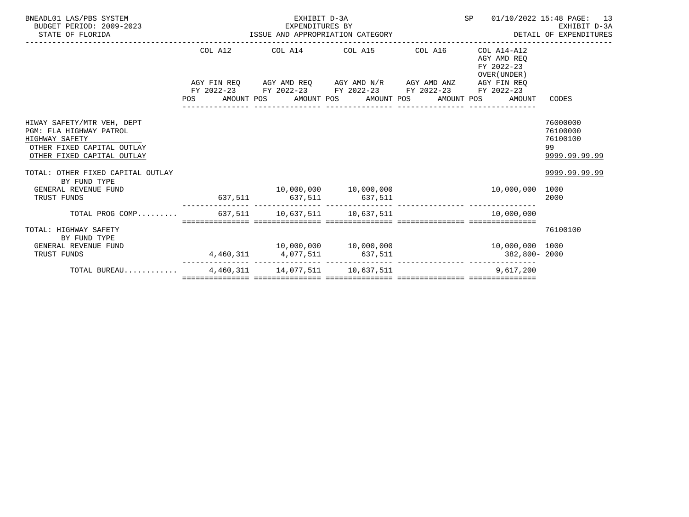| BNEADL01 LAS/PBS SYSTEM<br>BUDGET PERIOD: 2009-2023<br>STATE OF FLORIDA                                                             |         | EXHIBIT D-3A<br>EXPENDITURES BY | SP                                                                                                                                                                       | 01/10/2022 15:48 PAGE: 13<br>EXHIBIT D-3A |                                                                                                                             |                                                         |
|-------------------------------------------------------------------------------------------------------------------------------------|---------|---------------------------------|--------------------------------------------------------------------------------------------------------------------------------------------------------------------------|-------------------------------------------|-----------------------------------------------------------------------------------------------------------------------------|---------------------------------------------------------|
|                                                                                                                                     | COL A12 |                                 | COL A14 COL A15 COL A16                                                                                                                                                  |                                           | COL A14-A12<br>AGY AMD REO<br>FY 2022-23<br>OVER (UNDER)                                                                    |                                                         |
|                                                                                                                                     |         |                                 | AGY FIN REQ AGY AMD REQ AGY AMD N/R AGY AMD ANZ AGY FIN REQ<br>FY 2022-23 FY 2022-23 FY 2022-23 FY 2022-23 FY 2022-23<br>POS AMOUNT POS AMOUNT POS AMOUNT POS AMOUNT POS |                                           | AMOUNT                                                                                                                      | CODES                                                   |
| HIWAY SAFETY/MTR VEH, DEPT<br>PGM: FLA HIGHWAY PATROL<br>HIGHWAY SAFETY<br>OTHER FIXED CAPITAL OUTLAY<br>OTHER FIXED CAPITAL OUTLAY |         |                                 |                                                                                                                                                                          |                                           |                                                                                                                             | 76000000<br>76100000<br>76100100<br>99<br>9999.99.99.99 |
| TOTAL: OTHER FIXED CAPITAL OUTLAY<br>BY FUND TYPE                                                                                   |         |                                 |                                                                                                                                                                          |                                           |                                                                                                                             | 9999.99.99.99                                           |
| GENERAL REVENUE FUND<br>TRUST FUNDS                                                                                                 |         |                                 | 637,511 637,511 637,511                                                                                                                                                  |                                           | 10,000,000 1000                                                                                                             | 2000                                                    |
| TOTAL PROG COMP 637,511 10,637,511 10,637,511                                                                                       |         |                                 |                                                                                                                                                                          |                                           | 10,000,000                                                                                                                  |                                                         |
| TOTAL: HIGHWAY SAFETY<br>BY FUND TYPE                                                                                               |         |                                 |                                                                                                                                                                          |                                           |                                                                                                                             | 76100100                                                |
| GENERAL REVENUE FUND<br>TRUST FUNDS                                                                                                 |         |                                 |                                                                                                                                                                          |                                           | $10,000,000$ $10,000,000$ $10,000,000$ $10,000,000$ $10,000,000$ $1000$<br>4,460,311 $4,077,511$ $637,511$ $382,800 - 2000$ |                                                         |
| TOTAL BUREAU                                                                                                                        |         |                                 | 4,460,311 14,077,511 10,637,511                                                                                                                                          |                                           | 9,617,200                                                                                                                   |                                                         |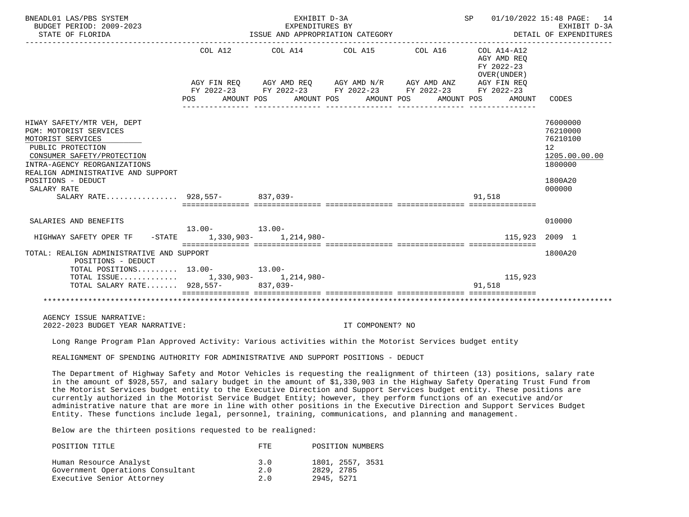| BNEADL01 LAS/PBS SYSTEM                                                                                                                                                                                                                 |                                      | EXHIBIT D-3A                                                                                                                                                         |                  |  | SP 01/10/2022 15:48 PAGE: 14                                                             | EXHIBIT D-3A                                                                            |  |  |  |  |
|-----------------------------------------------------------------------------------------------------------------------------------------------------------------------------------------------------------------------------------------|--------------------------------------|----------------------------------------------------------------------------------------------------------------------------------------------------------------------|------------------|--|------------------------------------------------------------------------------------------|-----------------------------------------------------------------------------------------|--|--|--|--|
| BUDGET PERIOD: 2009-2023<br>STATE OF FLORIDA                                                                                                                                                                                            |                                      | EXPENDITURES BY<br>ISSUE AND APPROPRIATION CATEGORY<br>DETAIL OF EXPENDITURES                                                                                        |                  |  |                                                                                          |                                                                                         |  |  |  |  |
|                                                                                                                                                                                                                                         | POS AMOUNT POS AMOUNT POS AMOUNT POS | COL A12 COL A14 COL A15 COL A16 COL A14-A12<br>AGY FIN REQ AGY AMD REQ AGY AMD N/R AGY AMD ANZ AGY FIN REQ<br>FY 2022-23 FY 2022-23 FY 2022-23 FY 2022-23 FY 2022-23 |                  |  | AGY AMD REO<br>FY 2022-23<br>OVER (UNDER)<br>AMOUNT POS<br>AMOUNT                        | CODES                                                                                   |  |  |  |  |
| HIWAY SAFETY/MTR VEH, DEPT<br>PGM: MOTORIST SERVICES<br>MOTORIST SERVICES<br>PUBLIC PROTECTION<br>CONSUMER SAFETY/PROTECTION<br>INTRA-AGENCY REORGANIZATIONS<br>REALIGN ADMINISTRATIVE AND SUPPORT<br>POSITIONS - DEDUCT<br>SALARY RATE |                                      |                                                                                                                                                                      |                  |  |                                                                                          | 76000000<br>76210000<br>76210100<br>12<br>1205.00.00.00<br>1800000<br>1800A20<br>000000 |  |  |  |  |
| SALARY RATE 928,557- 837,039-                                                                                                                                                                                                           |                                      |                                                                                                                                                                      |                  |  | 91.518                                                                                   |                                                                                         |  |  |  |  |
|                                                                                                                                                                                                                                         |                                      |                                                                                                                                                                      |                  |  |                                                                                          |                                                                                         |  |  |  |  |
| SALARIES AND BENEFITS                                                                                                                                                                                                                   | $13.00 - 13.00 -$                    |                                                                                                                                                                      |                  |  |                                                                                          | 010000                                                                                  |  |  |  |  |
| HIGHWAY SAFETY OPER TF -STATE 1,330,903- 1,214,980-                                                                                                                                                                                     |                                      |                                                                                                                                                                      |                  |  | 115,923 2009 1                                                                           |                                                                                         |  |  |  |  |
| TOTAL: REALIGN ADMINISTRATIVE AND SUPPORT<br>POSITIONS - DEDUCT<br>TOTAL POSITIONS 13.00-<br>13.00-                                                                                                                                     |                                      |                                                                                                                                                                      |                  |  | <u> sociologicist coloristicist citizisticist coloristicist coloristic coloristicist</u> | 1800A20                                                                                 |  |  |  |  |
| TOTAL ISSUE 1,330,903- 1,214,980-<br>TOTAL SALARY RATE 928,557- 837,039-                                                                                                                                                                |                                      |                                                                                                                                                                      |                  |  | 115,923<br>91.518                                                                        |                                                                                         |  |  |  |  |
|                                                                                                                                                                                                                                         |                                      |                                                                                                                                                                      |                  |  |                                                                                          |                                                                                         |  |  |  |  |
| AGENCY ISSUE NARRATIVE:<br>2022-2023 BUDGET YEAR NARRATIVE:                                                                                                                                                                             |                                      |                                                                                                                                                                      | IT COMPONENT? NO |  |                                                                                          |                                                                                         |  |  |  |  |

Long Range Program Plan Approved Activity: Various activities within the Motorist Services budget entity

REALIGNMENT OF SPENDING AUTHORITY FOR ADMINISTRATIVE AND SUPPORT POSITIONS - DEDUCT

 The Department of Highway Safety and Motor Vehicles is requesting the realignment of thirteen (13) positions, salary rate in the amount of \$928,557, and salary budget in the amount of \$1,330,903 in the Highway Safety Operating Trust Fund from the Motorist Services budget entity to the Executive Direction and Support Services budget entity. These positions are currently authorized in the Motorist Service Budget Entity; however, they perform functions of an executive and/or administrative nature that are more in line with other positions in the Executive Direction and Support Services Budget Entity. These functions include legal, personnel, training, communications, and planning and management.

Below are the thirteen positions requested to be realigned:

| POSITION TITLE                   | FTF. | POSITION NUMBERS |
|----------------------------------|------|------------------|
| Human Resource Analyst           | 3.0  | 1801, 2557, 3531 |
| Government Operations Consultant | 2.0  | 2829, 2785       |
| Executive Senior Attorney        | 2.0  | 2945, 5271       |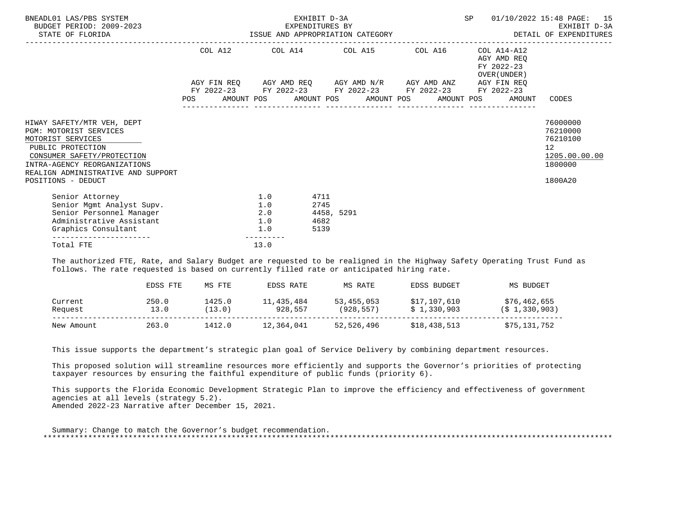| BNEADL01 LAS/PBS SYSTEM<br>BUDGET PERIOD: 2009-2023<br>STATE OF FLORIDA                                                                                                                                                         | EXPENDITURES BY EXHIBIT D-3A EXHIBIT D-3A EXEMPLITURES BY EXEMPLITURES BY EXEMPLITURES                                                                                                | EXHIBIT D-3A                               | SP                                                        | 01/10/2022 15:48 PAGE: 15                                                                  |
|---------------------------------------------------------------------------------------------------------------------------------------------------------------------------------------------------------------------------------|---------------------------------------------------------------------------------------------------------------------------------------------------------------------------------------|--------------------------------------------|-----------------------------------------------------------|--------------------------------------------------------------------------------------------|
|                                                                                                                                                                                                                                 | COL A12 COL A14 COL A15 COL A16                                                                                                                                                       |                                            | COL A14-A12<br>AGY AMD REO<br>FY 2022-23<br>OVER (UNDER ) |                                                                                            |
|                                                                                                                                                                                                                                 | AGY FIN REQ AGY AMD REQ AGY AMD N/R AGY AMD ANZ AGY FIN REQ<br>FY 2022-23 FY 2022-23 FY 2022-23 FY 2022-23 FY 2022-23<br>POS AMOUNT POS AMOUNT POS AMOUNT POS AMOUNT POS AMOUNT CODES |                                            |                                                           |                                                                                            |
| HIWAY SAFETY/MTR VEH, DEPT<br><b>PGM: MOTORIST SERVICES</b><br>MOTORIST SERVICES<br>PUBLIC PROTECTION<br>CONSUMER SAFETY/PROTECTION<br>INTRA-AGENCY REORGANIZATIONS<br>REALIGN ADMINISTRATIVE AND SUPPORT<br>POSITIONS - DEDUCT |                                                                                                                                                                                       |                                            |                                                           | 76000000<br>76210000<br>76210100<br>12 <sup>°</sup><br>1205.00.00.00<br>1800000<br>1800A20 |
| Senior Attorney<br>Senior Mgmt Analyst Supv.<br>Senior Personnel Manager<br>Administrative Assistant<br>Graphics Consultant                                                                                                     | 1.0<br>1.0<br>2.0<br>1.0<br>1.0                                                                                                                                                       | 4711<br>2745<br>4458, 5291<br>4682<br>5139 |                                                           |                                                                                            |
| -----------------------<br>Total FTE                                                                                                                                                                                            | ---------<br>13.0                                                                                                                                                                     |                                            |                                                           |                                                                                            |

 The authorized FTE, Rate, and Salary Budget are requested to be realigned in the Highway Safety Operating Trust Fund as follows. The rate requested is based on currently filled rate or anticipated hiring rate.

|            | EDSS FTE | MS FTE | EDSS RATE  | MS RATE    | EDSS BUDGET  | MS BUDGET         |
|------------|----------|--------|------------|------------|--------------|-------------------|
| Current    | 250.0    | 1425.0 | 11,435,484 | 53,455,053 | \$17,107,610 | \$76,462,655      |
| Request    | 13.0     | 13.0   | 928,557    | (928, 557) | \$1,330,903  | $(S_1, 330, 903)$ |
| New Amount | 263.0    | 1412.0 | 12,364,041 | 52,526,496 | \$18,438,513 | \$75,131,752      |

This issue supports the department's strategic plan goal of Service Delivery by combining department resources.

 This proposed solution will streamline resources more efficiently and supports the Governor's priorities of protecting taxpayer resources by ensuring the faithful expenditure of public funds (priority 6).

 This supports the Florida Economic Development Strategic Plan to improve the efficiency and effectiveness of government agencies at all levels (strategy 5.2). Amended 2022-23 Narrative after December 15, 2021.

 Summary: Change to match the Governor's budget recommendation. \*\*\*\*\*\*\*\*\*\*\*\*\*\*\*\*\*\*\*\*\*\*\*\*\*\*\*\*\*\*\*\*\*\*\*\*\*\*\*\*\*\*\*\*\*\*\*\*\*\*\*\*\*\*\*\*\*\*\*\*\*\*\*\*\*\*\*\*\*\*\*\*\*\*\*\*\*\*\*\*\*\*\*\*\*\*\*\*\*\*\*\*\*\*\*\*\*\*\*\*\*\*\*\*\*\*\*\*\*\*\*\*\*\*\*\*\*\*\*\*\*\*\*\*\*\*\*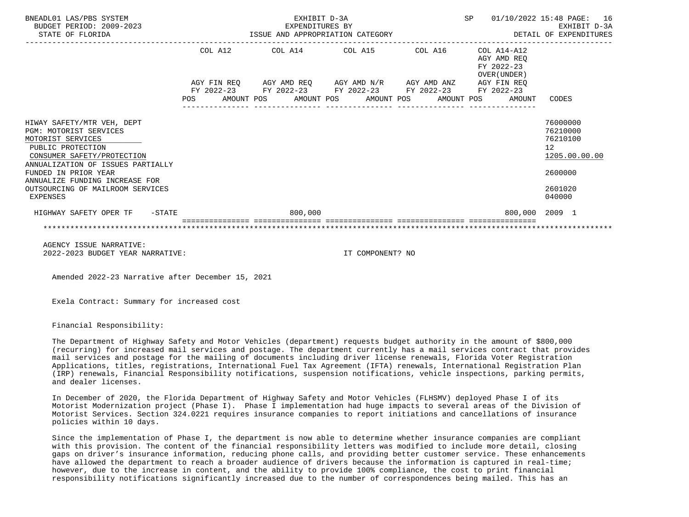| BNEADL01 LAS/PBS SYSTEM<br>BUDGET PERIOD: 2009-2023<br>STATE OF FLORIDA                                                                                                                                                                                                     |                                                                                                                |  | EXHIBIT D-3A<br>EXPENDITURES BY<br>ISSUE AND APPROPRIATION CATEGORY                                   |  |  | SP |                                                          | 01/10/2022 15:48 PAGE: 16<br>EXHIBIT D-3A<br>DETAIL OF EXPENDITURES                     |
|-----------------------------------------------------------------------------------------------------------------------------------------------------------------------------------------------------------------------------------------------------------------------------|----------------------------------------------------------------------------------------------------------------|--|-------------------------------------------------------------------------------------------------------|--|--|----|----------------------------------------------------------|-----------------------------------------------------------------------------------------|
|                                                                                                                                                                                                                                                                             | COL A12                                                                                                        |  | COL A14 COL A15 COL A16<br>AGY FIN REQ AGY AMD REQ AGY AMD N/R AGY AMD ANZ AGY FIN REQ                |  |  |    | COL A14-A12<br>AGY AMD REO<br>FY 2022-23<br>OVER (UNDER) |                                                                                         |
|                                                                                                                                                                                                                                                                             | POS FOR THE POST OF THE STATE STATE STATE STATE STATE STATE STATE STATE STATE STATE STATE STATE STATE STATE ST |  | FY 2022-23 FY 2022-23 FY 2022-23 FY 2022-23 FY 2022-23<br>AMOUNT POS AMOUNT POS AMOUNT POS AMOUNT POS |  |  |    | AMOUNT                                                   | CODES                                                                                   |
| HIWAY SAFETY/MTR VEH, DEPT<br>PGM: MOTORIST SERVICES<br>MOTORIST SERVICES<br>PUBLIC PROTECTION<br>CONSUMER SAFETY/PROTECTION<br>ANNUALIZATION OF ISSUES PARTIALLY<br>FUNDED IN PRIOR YEAR<br>ANNUALIZE FUNDING INCREASE FOR<br>OUTSOURCING OF MAILROOM SERVICES<br>EXPENSES |                                                                                                                |  |                                                                                                       |  |  |    |                                                          | 76000000<br>76210000<br>76210100<br>12<br>1205.00.00.00<br>2600000<br>2601020<br>040000 |
| HIGHWAY SAFETY OPER TF - STATE                                                                                                                                                                                                                                              |                                                                                                                |  | 800,000                                                                                               |  |  |    | 800,000 2009 1                                           |                                                                                         |
|                                                                                                                                                                                                                                                                             |                                                                                                                |  |                                                                                                       |  |  |    |                                                          |                                                                                         |

 AGENCY ISSUE NARRATIVE: 2022-2023 BUDGET YEAR NARRATIVE: IT COMPONENT? NO

Amended 2022-23 Narrative after December 15, 2021

Exela Contract: Summary for increased cost

Financial Responsibility:

 The Department of Highway Safety and Motor Vehicles (department) requests budget authority in the amount of \$800,000 (recurring) for increased mail services and postage. The department currently has a mail services contract that provides mail services and postage for the mailing of documents including driver license renewals, Florida Voter Registration Applications, titles, registrations, International Fuel Tax Agreement (IFTA) renewals, International Registration Plan (IRP) renewals, Financial Responsibility notifications, suspension notifications, vehicle inspections, parking permits, and dealer licenses.

 In December of 2020, the Florida Department of Highway Safety and Motor Vehicles (FLHSMV) deployed Phase I of its Motorist Modernization project (Phase I). Phase I implementation had huge impacts to several areas of the Division of Motorist Services. Section 324.0221 requires insurance companies to report initiations and cancellations of insurance policies within 10 days.

 Since the implementation of Phase I, the department is now able to determine whether insurance companies are compliant with this provision. The content of the financial responsibility letters was modified to include more detail, closing gaps on driver's insurance information, reducing phone calls, and providing better customer service. These enhancements have allowed the department to reach a broader audience of drivers because the information is captured in real-time; however, due to the increase in content, and the ability to provide 100% compliance, the cost to print financial responsibility notifications significantly increased due to the number of correspondences being mailed. This has an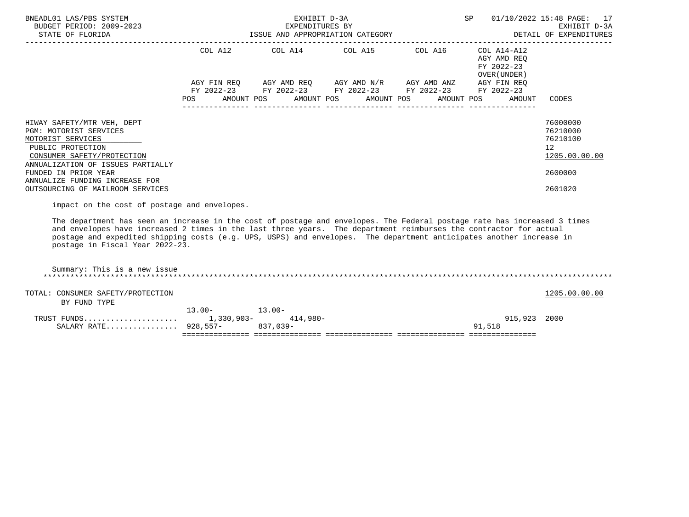| BNEADL01 LAS/PBS SYSTEM<br>BUDGET PERIOD: 2009-2023<br>STATE OF FLORIDA                                                                                                                                                                                                                                                                                                                                 |                                      | EXHIBIT D-3A<br>EXPENDITURES BY<br>ISSUE AND APPROPRIATION CATEGORY | SP 01/10/2022 15:48 PAGE: 17 | EXHIBIT D-3A<br>DETAIL OF EXPENDITURES                    |                                                                               |
|---------------------------------------------------------------------------------------------------------------------------------------------------------------------------------------------------------------------------------------------------------------------------------------------------------------------------------------------------------------------------------------------------------|--------------------------------------|---------------------------------------------------------------------|------------------------------|-----------------------------------------------------------|-------------------------------------------------------------------------------|
|                                                                                                                                                                                                                                                                                                                                                                                                         | COL A12                              |                                                                     | COL A14 COL A15 COL A16      | COL A14-A12<br>AGY AMD REO<br>FY 2022-23<br>OVER (UNDER ) |                                                                               |
|                                                                                                                                                                                                                                                                                                                                                                                                         |                                      | AGY FIN REQ AGY AMD REQ AGY AMD N/R AGY AMD ANZ AGY FIN REQ         |                              |                                                           |                                                                               |
|                                                                                                                                                                                                                                                                                                                                                                                                         | POS AMOUNT POS AMOUNT POS AMOUNT POS | FY 2022-23 FY 2022-23 FY 2022-23 FY 2022-23 FY 2022-23              | AMOUNT POS                   | AMOUNT                                                    | CODES                                                                         |
| HIWAY SAFETY/MTR VEH, DEPT<br><b>PGM: MOTORIST SERVICES</b><br>MOTORIST SERVICES<br>PUBLIC PROTECTION<br>CONSUMER SAFETY/PROTECTION<br>ANNUALIZATION OF ISSUES PARTIALLY<br>FUNDED IN PRIOR YEAR<br>ANNUALIZE FUNDING INCREASE FOR<br>OUTSOURCING OF MAILROOM SERVICES<br>impact on the cost of postage and envelopes.                                                                                  |                                      |                                                                     |                              |                                                           | 76000000<br>76210000<br>76210100<br>12<br>1205.00.00.00<br>2600000<br>2601020 |
| The department has seen an increase in the cost of postage and envelopes. The Federal postage rate has increased 3 times<br>and envelopes have increased 2 times in the last three years. The department reimburses the contractor for actual<br>postage and expedited shipping costs (e.g. UPS, USPS) and envelopes. The department anticipates another increase in<br>postage in Fiscal Year 2022-23. |                                      |                                                                     |                              |                                                           |                                                                               |
| Summary: This is a new issue                                                                                                                                                                                                                                                                                                                                                                            |                                      |                                                                     |                              |                                                           |                                                                               |

TOTAL: CONSUMER SAFETY/PROTECTION 1205.00.00 CONSUMER SAFETY/PROTECTION BY FUND TYPE

|                      | 13 NN- | $13.00 -$ |                         |              |  |
|----------------------|--------|-----------|-------------------------|--------------|--|
|                      |        | 414,980-  |                         | 915,923 2000 |  |
| SALARY RATE 928,557- |        | 837.039-  | .,518<br>Q <sub>1</sub> |              |  |
|                      |        |           |                         |              |  |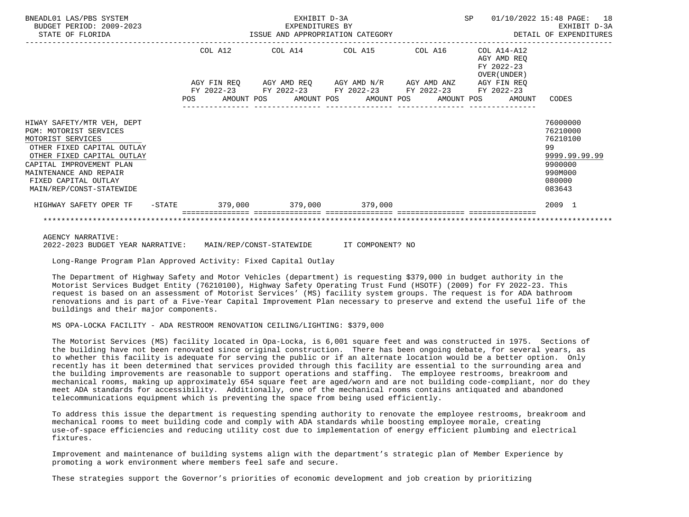| BNEADL01 LAS/PBS SYSTEM<br>BUDGET PERIOD: 2009-2023<br>STATE OF FLORIDA                                                                                                                                                                                | EXHIBIT D-3A<br>EXPENDITURES BY<br>EXPENDITURES BY<br>ISSUE AND APPROPRIATION CATEGORY |  |                                             |  |  |                                                                                                                       |  |  | SP 01/10/2022 15:48 PAGE: 18<br>EXHIBIT D-3A<br>DETAIL OF EXPENDITURES |                                                              |                                                                                                   |
|--------------------------------------------------------------------------------------------------------------------------------------------------------------------------------------------------------------------------------------------------------|----------------------------------------------------------------------------------------|--|---------------------------------------------|--|--|-----------------------------------------------------------------------------------------------------------------------|--|--|------------------------------------------------------------------------|--------------------------------------------------------------|---------------------------------------------------------------------------------------------------|
|                                                                                                                                                                                                                                                        | COL A12                                                                                |  | $COL A14$ $COL A15$ $COL A16$ $COL A14-A12$ |  |  |                                                                                                                       |  |  | AGY AMD REO<br>FY 2022-23<br>OVER (UNDER)                              |                                                              |                                                                                                   |
|                                                                                                                                                                                                                                                        |                                                                                        |  |                                             |  |  | AGY FIN REQ AGY AMD REQ AGY AMD N/R AGY AMD ANZ AGY FIN REQ<br>FY 2022-23 FY 2022-23 FY 2022-23 FY 2022-23 FY 2022-23 |  |  |                                                                        | POS AMOUNT POS AMOUNT POS AMOUNT POS AMOUNT POS AMOUNT CODES |                                                                                                   |
| HIWAY SAFETY/MTR VEH, DEPT<br><b>PGM: MOTORIST SERVICES</b><br>MOTORIST SERVICES<br>OTHER FIXED CAPITAL OUTLAY<br>OTHER FIXED CAPITAL OUTLAY<br>CAPITAL IMPROVEMENT PLAN<br>MAINTENANCE AND REPAIR<br>FIXED CAPITAL OUTLAY<br>MAIN/REP/CONST-STATEWIDE |                                                                                        |  |                                             |  |  |                                                                                                                       |  |  |                                                                        |                                                              | 76000000<br>76210000<br>76210100<br>99<br>9999.99.99.99<br>9900000<br>990M000<br>080000<br>083643 |
| HIGHWAY SAFETY OPER TF -STATE 379,000 379,000 379,000 379,000                                                                                                                                                                                          |                                                                                        |  |                                             |  |  |                                                                                                                       |  |  |                                                                        |                                                              | 2009 1                                                                                            |
|                                                                                                                                                                                                                                                        |                                                                                        |  |                                             |  |  |                                                                                                                       |  |  |                                                                        |                                                              |                                                                                                   |

AGENCY NARRATIVE:

2022-2023 BUDGET YEAR NARRATIVE: MAIN/REP/CONST-STATEWIDE IT COMPONENT? NO

Long-Range Program Plan Approved Activity: Fixed Capital Outlay

 The Department of Highway Safety and Motor Vehicles (department) is requesting \$379,000 in budget authority in the Motorist Services Budget Entity (76210100), Highway Safety Operating Trust Fund (HSOTF) (2009) for FY 2022-23. This request is based on an assessment of Motorist Services' (MS) facility system groups. The request is for ADA bathroom renovations and is part of a Five-Year Capital Improvement Plan necessary to preserve and extend the useful life of the buildings and their major components.

MS OPA-LOCKA FACILITY - ADA RESTROOM RENOVATION CEILING/LIGHTING: \$379,000

 The Motorist Services (MS) facility located in Opa-Locka, is 6,001 square feet and was constructed in 1975. Sections of the building have not been renovated since original construction. There has been ongoing debate, for several years, as to whether this facility is adequate for serving the public or if an alternate location would be a better option. Only recently has it been determined that services provided through this facility are essential to the surrounding area and the building improvements are reasonable to support operations and staffing. The employee restrooms, breakroom and mechanical rooms, making up approximately 654 square feet are aged/worn and are not building code-compliant, nor do they meet ADA standards for accessibility. Additionally, one of the mechanical rooms contains antiquated and abandoned telecommunications equipment which is preventing the space from being used efficiently.

 To address this issue the department is requesting spending authority to renovate the employee restrooms, breakroom and mechanical rooms to meet building code and comply with ADA standards while boosting employee morale, creating use-of-space efficiencies and reducing utility cost due to implementation of energy efficient plumbing and electrical fixtures.

 Improvement and maintenance of building systems align with the department's strategic plan of Member Experience by promoting a work environment where members feel safe and secure.

These strategies support the Governor's priorities of economic development and job creation by prioritizing